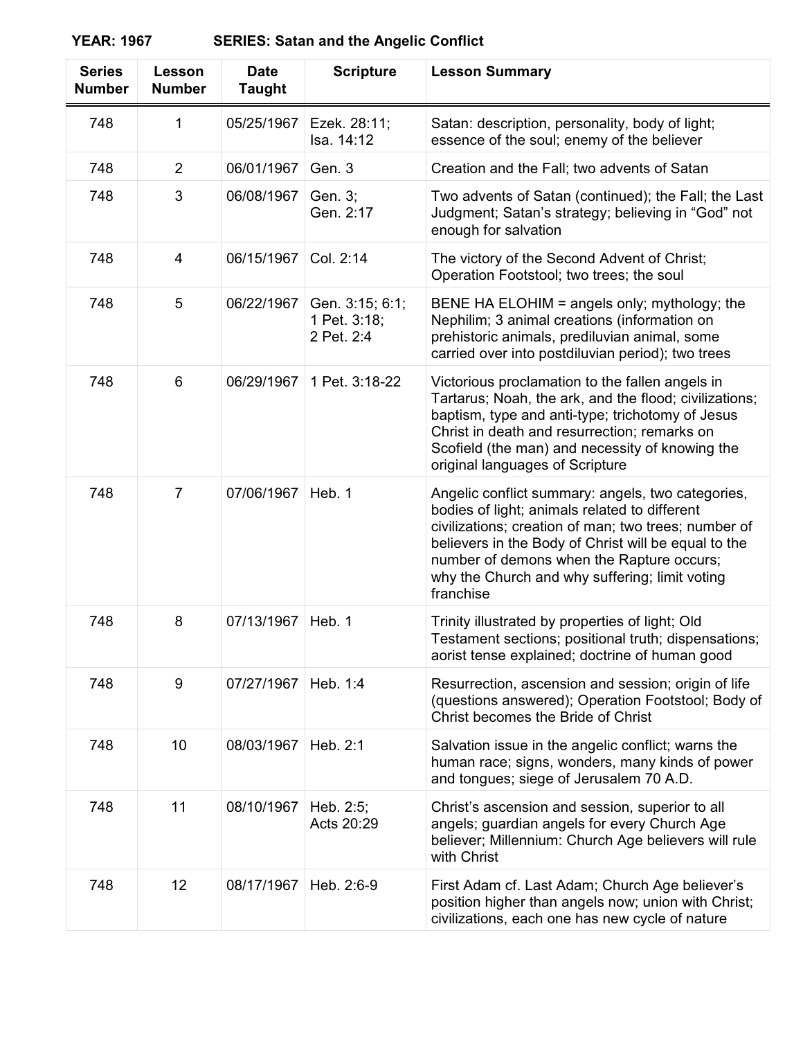**YEAR: 1967 SERIES: Satan and the Angelic Conflict**

| <b>Series</b><br><b>Number</b> | Lesson<br><b>Number</b> | <b>Date</b><br><b>Taught</b> | <b>Scripture</b>                              | <b>Lesson Summary</b>                                                                                                                                                                                                                                                                                                          |
|--------------------------------|-------------------------|------------------------------|-----------------------------------------------|--------------------------------------------------------------------------------------------------------------------------------------------------------------------------------------------------------------------------------------------------------------------------------------------------------------------------------|
| 748                            | 1                       | 05/25/1967                   | Ezek. 28:11;<br>Isa. 14:12                    | Satan: description, personality, body of light;<br>essence of the soul; enemy of the believer                                                                                                                                                                                                                                  |
| 748                            | $\overline{2}$          | 06/01/1967                   | Gen. 3                                        | Creation and the Fall; two advents of Satan                                                                                                                                                                                                                                                                                    |
| 748                            | 3                       | 06/08/1967                   | Gen. 3;<br>Gen. 2:17                          | Two advents of Satan (continued); the Fall; the Last<br>Judgment; Satan's strategy; believing in "God" not<br>enough for salvation                                                                                                                                                                                             |
| 748                            | 4                       | 06/15/1967                   | Col. 2:14                                     | The victory of the Second Advent of Christ;<br>Operation Footstool; two trees; the soul                                                                                                                                                                                                                                        |
| 748                            | 5                       | 06/22/1967                   | Gen. 3:15; 6:1;<br>1 Pet. 3:18;<br>2 Pet. 2:4 | BENE HA ELOHIM = angels only; mythology; the<br>Nephilim; 3 animal creations (information on<br>prehistoric animals, prediluvian animal, some<br>carried over into postdiluvian period); two trees                                                                                                                             |
| 748                            | 6                       | 06/29/1967                   | 1 Pet. 3:18-22                                | Victorious proclamation to the fallen angels in<br>Tartarus; Noah, the ark, and the flood; civilizations;<br>baptism, type and anti-type; trichotomy of Jesus<br>Christ in death and resurrection; remarks on<br>Scofield (the man) and necessity of knowing the<br>original languages of Scripture                            |
| 748                            | $\overline{7}$          | 07/06/1967                   | Heb. 1                                        | Angelic conflict summary: angels, two categories,<br>bodies of light; animals related to different<br>civilizations; creation of man; two trees; number of<br>believers in the Body of Christ will be equal to the<br>number of demons when the Rapture occurs;<br>why the Church and why suffering; limit voting<br>franchise |
| 748                            | 8                       | 07/13/1967                   | Heb. 1                                        | Trinity illustrated by properties of light; Old<br>Testament sections; positional truth; dispensations;<br>aorist tense explained; doctrine of human good                                                                                                                                                                      |
| 748                            | 9                       | 07/27/1967                   | Heb. 1:4                                      | Resurrection, ascension and session; origin of life<br>(questions answered); Operation Footstool; Body of<br>Christ becomes the Bride of Christ                                                                                                                                                                                |
| 748                            | 10                      | 08/03/1967                   | Heb. 2:1                                      | Salvation issue in the angelic conflict; warns the<br>human race; signs, wonders, many kinds of power<br>and tongues; siege of Jerusalem 70 A.D.                                                                                                                                                                               |
| 748                            | 11                      | 08/10/1967                   | Heb. 2:5;<br>Acts 20:29                       | Christ's ascension and session, superior to all<br>angels; guardian angels for every Church Age<br>believer; Millennium: Church Age believers will rule<br>with Christ                                                                                                                                                         |
| 748                            | 12                      | 08/17/1967                   | Heb. 2:6-9                                    | First Adam cf. Last Adam; Church Age believer's<br>position higher than angels now; union with Christ;<br>civilizations, each one has new cycle of nature                                                                                                                                                                      |